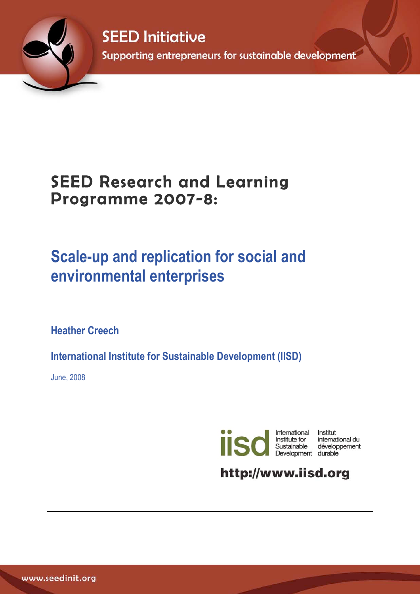

**SEED Initiative** Supporting entrepreneurs for sustainable development

# SEED Research and Learning Programme 2007-8:

# **Scale-up and replication for social and environmental enterprises**

**Heather Creech** 

**International Institute for Sustainable Development (IISD)**

June, 2008



Institut international du Sustainable développement<br>Development durable

http://www.iisd.org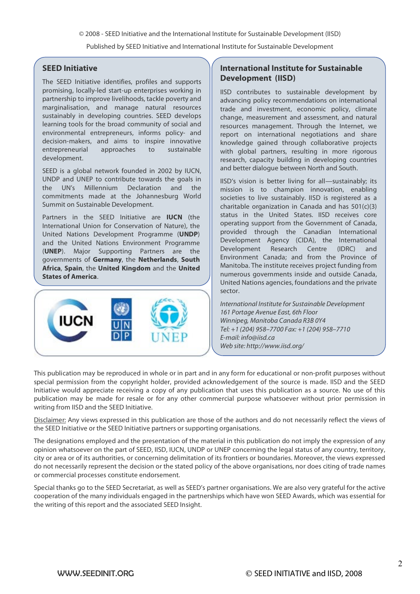© 2008 - SEED Initiative and the International Institute for Sustainable Development (IISD)

Published by SEED Initiative and International Institute for Sustainable Development

#### **SEED Initiative**

The SEED Initiative identifies, profiles and supports promising, locally-led start-up enterprises working in partnership to improve livelihoods, tackle poverty and marginalisation, and manage natural resources sustainably in developing countries. SEED develops learning tools for the broad community of social and environmental entrepreneurs, informs policy- and decision-makers, and aims to inspire innovative entrepreneurial approaches to sustainable development.

SEED is a global network founded in 2002 by IUCN, UNDP and UNEP to contribute towards the goals in the UN's Millennium Declaration and the commitments made at the Johannesburg World Summit on Sustainable Development.

Partners in the SEED Initiative are **IUCN** (the International Union for Conservation of Nature), the United Nations Development Programme (**UNDP**) and the United Nations Environment Programme (**UNEP**). Major Supporting Partners are the governments of **Germany**, the **Netherlands**, **South Africa**, **Spain**, the **United Kingdom** and the **United States of America**.



### **International Institute for Sustainable Development (IISD)**

IISD contributes to sustainable development by advancing policy recommendations on international trade and investment, economic policy, climate change, measurement and assessment, and natural resources management. Through the Internet, we report on international negotiations and share knowledge gained through collaborative projects with global partners, resulting in more rigorous research, capacity building in developing countries and better dialogue between North and South.

IISD's vision is better living for all—sustainably; its mission is to champion innovation, enabling societies to live sustainably. IISD is registered as a charitable organization in Canada and has  $501(c)(3)$ status in the United States. IISD receives core operating support from the Government of Canada, provided through the Canadian International Development Agency (CIDA), the International Development Research Centre (IDRC) and Environment Canada; and from the Province of Manitoba. The institute receives project funding from numerous governments inside and outside Canada, United Nations agencies, foundations and the private sector.

International Institute for Sustainable Development 161 Portage Avenue East, 6th Floor Winnipeg, Manitoba Canada R3B 0Y4 Tel: +1 (204) 958–7700 Fax: +1 (204) 958–7710 E-mail: info@iisd.ca Web site: http://www.iisd.org/

This publication may be reproduced in whole or in part and in any form for educational or non-profit purposes without special permission from the copyright holder, provided acknowledgement of the source is made. IISD and the SEED Initiative would appreciate receiving a copy of any publication that uses this publication as a source. No use of this publication may be made for resale or for any other commercial purpose whatsoever without prior permission in writing from IISD and the SEED Initiative.

Disclaimer: Any views expressed in this publication are those of the authors and do not necessarily reflect the views of the SEED Initiative or the SEED Initiative partners or supporting organisations.

The designations employed and the presentation of the material in this publication do not imply the expression of any opinion whatsoever on the part of SEED, IISD, IUCN, UNDP or UNEP concerning the legal status of any country, territory, city or area or of its authorities, or concerning delimitation of its frontiers or boundaries. Moreover, the views expressed do not necessarily represent the decision or the stated policy of the above organisations, nor does citing of trade names or commercial processes constitute endorsement.

Special thanks go to the SEED Secretariat, as well as SEED's partner organisations. We are also very grateful for the active cooperation of the many individuals engaged in the partnerships which have won SEED Awards, which was essential for the writing of this report and the associated SEED Insight.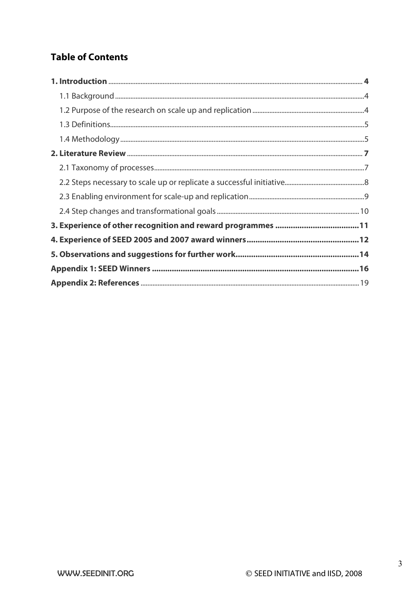# **Table of Contents**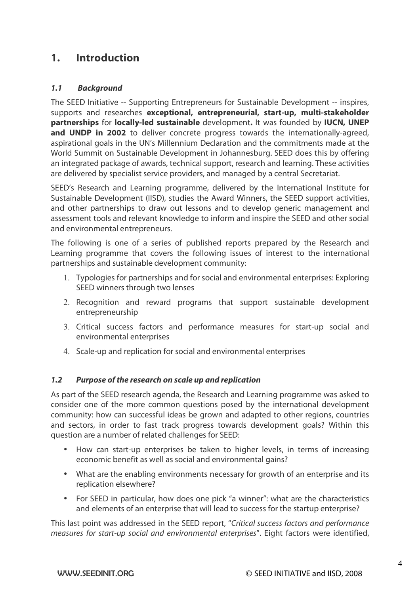# **1. Introduction**

### **1.1 Background**

The SEED Initiative -- Supporting Entrepreneurs for Sustainable Development -- inspires, supports and researches **exceptional, entrepreneurial, start-up, multi-stakeholder partnerships** for **locally-led sustainable** development**.** It was founded by **IUCN, UNEP**  and UNDP in 2002 to deliver concrete progress towards the internationally-agreed, aspirational goals in the UN's Millennium Declaration and the commitments made at the World Summit on Sustainable Development in Johannesburg. SEED does this by offering an integrated package of awards, technical support, research and learning. These activities are delivered by specialist service providers, and managed by a central Secretariat.

SEED's Research and Learning programme, delivered by the International Institute for Sustainable Development (IISD), studies the Award Winners, the SEED support activities, and other partnerships to draw out lessons and to develop generic management and assessment tools and relevant knowledge to inform and inspire the SEED and other social and environmental entrepreneurs.

The following is one of a series of published reports prepared by the Research and Learning programme that covers the following issues of interest to the international partnerships and sustainable development community:

- 1. Typologies for partnerships and for social and environmental enterprises: Exploring SEED winners through two lenses
- 2. Recognition and reward programs that support sustainable development entrepreneurship
- 3. Critical success factors and performance measures for start-up social and environmental enterprises
- 4. Scale-up and replication for social and environmental enterprises

### **1.2 Purpose of the research on scale up and replication**

As part of the SEED research agenda, the Research and Learning programme was asked to consider one of the more common questions posed by the international development community: how can successful ideas be grown and adapted to other regions, countries and sectors, in order to fast track progress towards development goals? Within this question are a number of related challenges for SEED:

- How can start-up enterprises be taken to higher levels, in terms of increasing economic benefit as well as social and environmental gains?
- What are the enabling environments necessary for growth of an enterprise and its replication elsewhere?
- For SEED in particular, how does one pick "a winner": what are the characteristics and elements of an enterprise that will lead to success for the startup enterprise?

This last point was addressed in the SEED report, "Critical success factors and performance measures for start-up social and environmental enterprises". Eight factors were identified,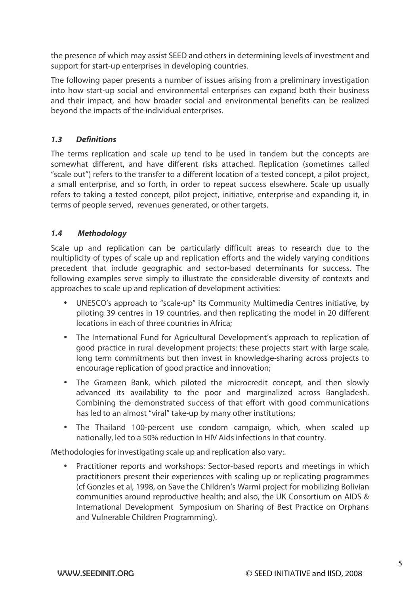the presence of which may assist SEED and others in determining levels of investment and support for start-up enterprises in developing countries.

The following paper presents a number of issues arising from a preliminary investigation into how start-up social and environmental enterprises can expand both their business and their impact, and how broader social and environmental benefits can be realized beyond the impacts of the individual enterprises.

## **1.3 Definitions**

The terms replication and scale up tend to be used in tandem but the concepts are somewhat different, and have different risks attached. Replication (sometimes called "scale out") refers to the transfer to a different location of a tested concept, a pilot project, a small enterprise, and so forth, in order to repeat success elsewhere. Scale up usually refers to taking a tested concept, pilot project, initiative, enterprise and expanding it, in terms of people served, revenues generated, or other targets.

### **1.4 Methodology**

Scale up and replication can be particularly difficult areas to research due to the multiplicity of types of scale up and replication efforts and the widely varying conditions precedent that include geographic and sector-based determinants for success. The following examples serve simply to illustrate the considerable diversity of contexts and approaches to scale up and replication of development activities:

- UNESCO's approach to "scale-up" its Community Multimedia Centres initiative, by piloting 39 centres in 19 countries, and then replicating the model in 20 different locations in each of three countries in Africa;
- The International Fund for Agricultural Development's approach to replication of good practice in rural development projects: these projects start with large scale, long term commitments but then invest in knowledge-sharing across projects to encourage replication of good practice and innovation;
- The Grameen Bank, which piloted the microcredit concept, and then slowly advanced its availability to the poor and marginalized across Bangladesh. Combining the demonstrated success of that effort with good communications has led to an almost "viral" take-up by many other institutions;
- The Thailand 100-percent use condom campaign, which, when scaled up nationally, led to a 50% reduction in HIV Aids infections in that country.

Methodologies for investigating scale up and replication also vary:.

Practitioner reports and workshops: Sector-based reports and meetings in which practitioners present their experiences with scaling up or replicating programmes (cf Gonzles et al, 1998, on Save the Children's Warmi project for mobilizing Bolivian communities around reproductive health; and also, the UK Consortium on AIDS & International Development Symposium on Sharing of Best Practice on Orphans and Vulnerable Children Programming).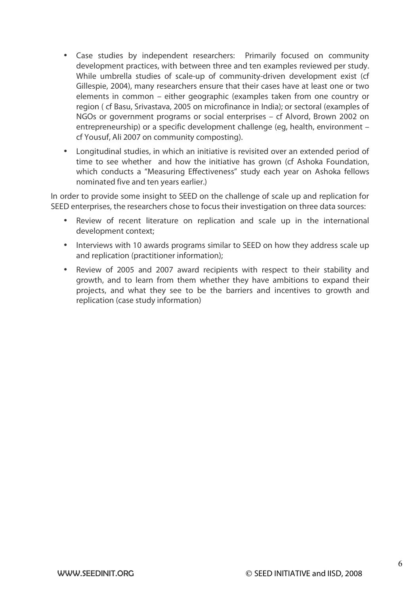- Case studies by independent researchers: Primarily focused on community development practices, with between three and ten examples reviewed per study. While umbrella studies of scale-up of community-driven development exist (cf Gillespie, 2004), many researchers ensure that their cases have at least one or two elements in common – either geographic (examples taken from one country or region ( cf Basu, Srivastava, 2005 on microfinance in India); or sectoral (examples of NGOs or government programs or social enterprises – cf Alvord, Brown 2002 on entrepreneurship) or a specific development challenge (eg, health, environment – cf Yousuf, Ali 2007 on community composting).
- Longitudinal studies, in which an initiative is revisited over an extended period of time to see whether and how the initiative has grown (cf Ashoka Foundation, which conducts a "Measuring Effectiveness" study each year on Ashoka fellows nominated five and ten years earlier.)

In order to provide some insight to SEED on the challenge of scale up and replication for SEED enterprises, the researchers chose to focus their investigation on three data sources:

- Review of recent literature on replication and scale up in the international development context;
- Interviews with 10 awards programs similar to SEED on how they address scale up and replication (practitioner information);
- Review of 2005 and 2007 award recipients with respect to their stability and growth, and to learn from them whether they have ambitions to expand their projects, and what they see to be the barriers and incentives to growth and replication (case study information)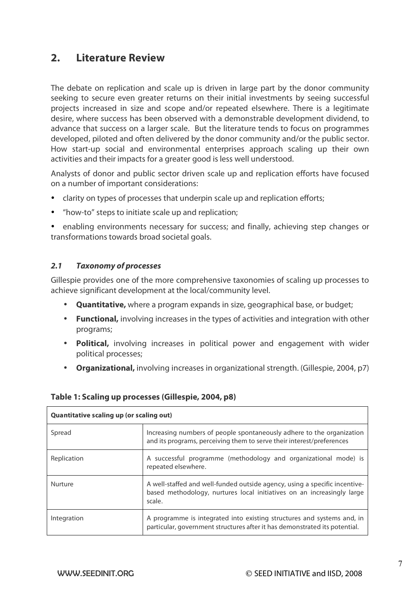## **2. Literature Review**

The debate on replication and scale up is driven in large part by the donor community seeking to secure even greater returns on their initial investments by seeing successful projects increased in size and scope and/or repeated elsewhere. There is a legitimate desire, where success has been observed with a demonstrable development dividend, to advance that success on a larger scale. But the literature tends to focus on programmes developed, piloted and often delivered by the donor community and/or the public sector. How start-up social and environmental enterprises approach scaling up their own activities and their impacts for a greater good is less well understood.

Analysts of donor and public sector driven scale up and replication efforts have focused on a number of important considerations:

- clarity on types of processes that underpin scale up and replication efforts;
- "how-to" steps to initiate scale up and replication;

• enabling environments necessary for success; and finally, achieving step changes or transformations towards broad societal goals.

#### **2.1 Taxonomy of processes**

Gillespie provides one of the more comprehensive taxonomies of scaling up processes to achieve significant development at the local/community level.

- **Quantitative,** where a program expands in size, geographical base, or budget;
- **Functional,** involving increases in the types of activities and integration with other programs;
- **Political,** involving increases in political power and engagement with wider political processes;
- **Organizational,** involving increases in organizational strength. (Gillespie, 2004, p7)

| Table 1: Scaling up processes (Gillespie, 2004, p8) |  |
|-----------------------------------------------------|--|
|-----------------------------------------------------|--|

| Quantitative scaling up (or scaling out) |                                                                                                                                                                |  |
|------------------------------------------|----------------------------------------------------------------------------------------------------------------------------------------------------------------|--|
| Spread                                   | Increasing numbers of people spontaneously adhere to the organization<br>and its programs, perceiving them to serve their interest/preferences                 |  |
| Replication                              | A successful programme (methodology and organizational mode) is<br>repeated elsewhere.                                                                         |  |
| <b>Nurture</b>                           | A well-staffed and well-funded outside agency, using a specific incentive-<br>based methodology, nurtures local initiatives on an increasingly large<br>scale. |  |
| Integration                              | A programme is integrated into existing structures and systems and, in<br>particular, government structures after it has demonstrated its potential.           |  |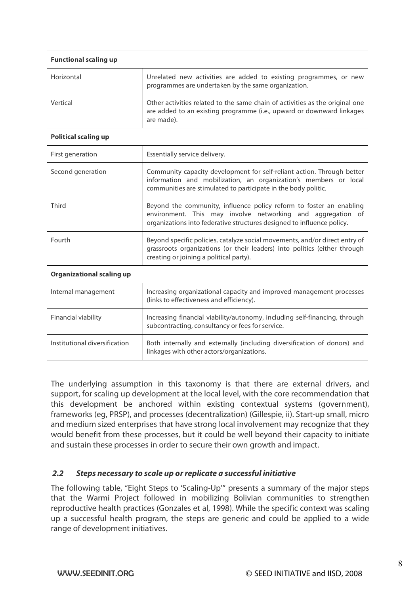| <b>Functional scaling up</b>     |                                                                                                                                                                                                              |  |
|----------------------------------|--------------------------------------------------------------------------------------------------------------------------------------------------------------------------------------------------------------|--|
| Horizontal                       | Unrelated new activities are added to existing programmes, or new<br>programmes are undertaken by the same organization.                                                                                     |  |
| Vertical                         | Other activities related to the same chain of activities as the original one<br>are added to an existing programme (i.e., upward or downward linkages<br>are made).                                          |  |
| <b>Political scaling up</b>      |                                                                                                                                                                                                              |  |
| First generation                 | Essentially service delivery.                                                                                                                                                                                |  |
| Second generation                | Community capacity development for self-reliant action. Through better<br>information and mobilization, an organization's members or local<br>communities are stimulated to participate in the body politic. |  |
| Third                            | Beyond the community, influence policy reform to foster an enabling<br>environment. This may involve networking and aggregation of<br>organizations into federative structures designed to influence policy. |  |
| Fourth                           | Beyond specific policies, catalyze social movements, and/or direct entry of<br>grassroots organizations (or their leaders) into politics (either through<br>creating or joining a political party).          |  |
| <b>Organizational scaling up</b> |                                                                                                                                                                                                              |  |
| Internal management              | Increasing organizational capacity and improved management processes<br>(links to effectiveness and efficiency).                                                                                             |  |
| Financial viability              | Increasing financial viability/autonomy, including self-financing, through<br>subcontracting, consultancy or fees for service.                                                                               |  |
| Institutional diversification    | Both internally and externally (including diversification of donors) and<br>linkages with other actors/organizations.                                                                                        |  |

The underlying assumption in this taxonomy is that there are external drivers, and support, for scaling up development at the local level, with the core recommendation that this development be anchored within existing contextual systems (government), frameworks (eg, PRSP), and processes (decentralization) (Gillespie, ii). Start-up small, micro and medium sized enterprises that have strong local involvement may recognize that they would benefit from these processes, but it could be well beyond their capacity to initiate and sustain these processes in order to secure their own growth and impact.

### **2.2 Steps necessary to scale up or replicate a successful initiative**

The following table, "Eight Steps to 'Scaling-Up'" presents a summary of the major steps that the Warmi Project followed in mobilizing Bolivian communities to strengthen reproductive health practices (Gonzales et al, 1998). While the specific context was scaling up a successful health program, the steps are generic and could be applied to a wide range of development initiatives.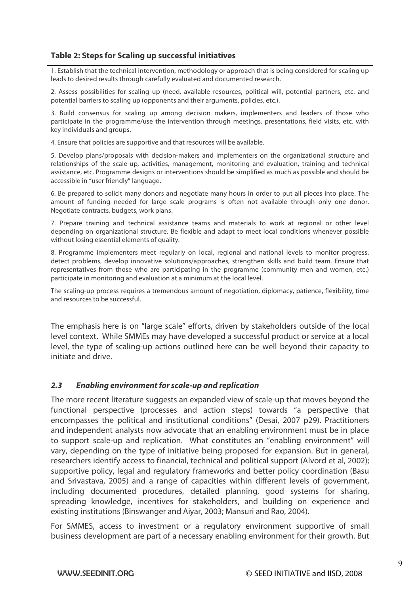## **Table 2: Steps for Scaling up successful initiatives**

1. Establish that the technical intervention, methodology or approach that is being considered for scaling up leads to desired results through carefully evaluated and documented research.

2. Assess possibilities for scaling up (need, available resources, political will, potential partners, etc. and potential barriers to scaling up (opponents and their arguments, policies, etc.).

3. Build consensus for scaling up among decision makers, implementers and leaders of those who participate in the programme/use the intervention through meetings, presentations, field visits, etc. with key individuals and groups.

4. Ensure that policies are supportive and that resources will be available.

5. Develop plans/proposals with decision-makers and implementers on the organizational structure and relationships of the scale-up, activities, management, monitoring and evaluation, training and technical assistance, etc. Programme designs or interventions should be simplified as much as possible and should be accessible in "user friendly" language.

6. Be prepared to solicit many donors and negotiate many hours in order to put all pieces into place. The amount of funding needed for large scale programs is often not available through only one donor. Negotiate contracts, budgets, work plans.

7. Prepare training and technical assistance teams and materials to work at regional or other level depending on organizational structure. Be flexible and adapt to meet local conditions whenever possible without losing essential elements of quality.

8. Programme implementers meet regularly on local, regional and national levels to monitor progress, detect problems, develop innovative solutions/approaches, strengthen skills and build team. Ensure that representatives from those who are participating in the programme (community men and women, etc.) participate in monitoring and evaluation at a minimum at the local level.

The scaling-up process requires a tremendous amount of negotiation, diplomacy, patience, flexibility, time and resources to be successful.

The emphasis here is on "large scale" efforts, driven by stakeholders outside of the local level context. While SMMEs may have developed a successful product or service at a local level, the type of scaling-up actions outlined here can be well beyond their capacity to initiate and drive.

### **2.3 Enabling environment for scale-up and replication**

The more recent literature suggests an expanded view of scale-up that moves beyond the functional perspective (processes and action steps) towards "a perspective that encompasses the political and institutional conditions" (Desai, 2007 p29). Practitioners and independent analysts now advocate that an enabling environment must be in place to support scale-up and replication. What constitutes an "enabling environment" will vary, depending on the type of initiative being proposed for expansion. But in general, researchers identify access to financial, technical and political support (Alvord et al, 2002); supportive policy, legal and regulatory frameworks and better policy coordination (Basu and Srivastava, 2005) and a range of capacities within different levels of government, including documented procedures, detailed planning, good systems for sharing, spreading knowledge, incentives for stakeholders, and building on experience and existing institutions (Binswanger and Aiyar, 2003; Mansuri and Rao, 2004).

For SMMES, access to investment or a regulatory environment supportive of small business development are part of a necessary enabling environment for their growth. But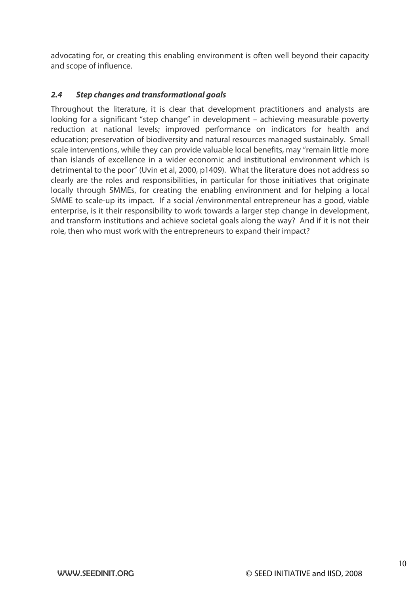advocating for, or creating this enabling environment is often well beyond their capacity and scope of influence.

## **2.4 Step changes and transformational goals**

Throughout the literature, it is clear that development practitioners and analysts are looking for a significant "step change" in development – achieving measurable poverty reduction at national levels; improved performance on indicators for health and education; preservation of biodiversity and natural resources managed sustainably. Small scale interventions, while they can provide valuable local benefits, may "remain little more than islands of excellence in a wider economic and institutional environment which is detrimental to the poor" (Uvin et al, 2000, p1409). What the literature does not address so clearly are the roles and responsibilities, in particular for those initiatives that originate locally through SMMEs, for creating the enabling environment and for helping a local SMME to scale-up its impact. If a social /environmental entrepreneur has a good, viable enterprise, is it their responsibility to work towards a larger step change in development, and transform institutions and achieve societal goals along the way? And if it is not their role, then who must work with the entrepreneurs to expand their impact?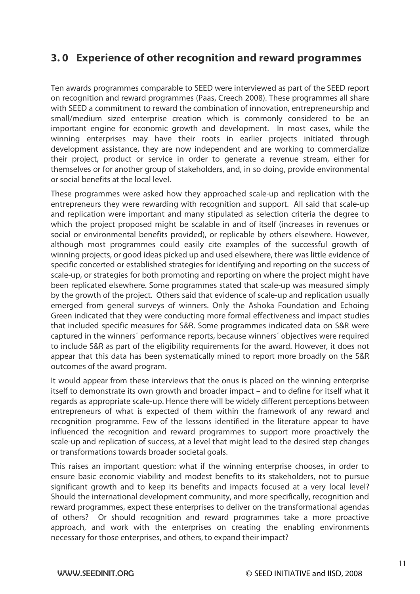# **3. 0 Experience of other recognition and reward programmes**

Ten awards programmes comparable to SEED were interviewed as part of the SEED report on recognition and reward programmes (Paas, Creech 2008). These programmes all share with SEED a commitment to reward the combination of innovation, entrepreneurship and small/medium sized enterprise creation which is commonly considered to be an important engine for economic growth and development. In most cases, while the winning enterprises may have their roots in earlier projects initiated through development assistance, they are now independent and are working to commercialize their project, product or service in order to generate a revenue stream, either for themselves or for another group of stakeholders, and, in so doing, provide environmental or social benefits at the local level.

These programmes were asked how they approached scale-up and replication with the entrepreneurs they were rewarding with recognition and support. All said that scale-up and replication were important and many stipulated as selection criteria the degree to which the project proposed might be scalable in and of itself (increases in revenues or social or environmental benefits provided), or replicable by others elsewhere. However, although most programmes could easily cite examples of the successful growth of winning projects, or good ideas picked up and used elsewhere, there was little evidence of specific concerted or established strategies for identifying and reporting on the success of scale-up, or strategies for both promoting and reporting on where the project might have been replicated elsewhere. Some programmes stated that scale-up was measured simply by the growth of the project. Others said that evidence of scale-up and replication usually emerged from general surveys of winners. Only the Ashoka Foundation and Echoing Green indicated that they were conducting more formal effectiveness and impact studies that included specific measures for S&R. Some programmes indicated data on S&R were captured in the winners´ performance reports, because winners´ objectives were required to include S&R as part of the eligibility requirements for the award. However, it does not appear that this data has been systematically mined to report more broadly on the S&R outcomes of the award program.

It would appear from these interviews that the onus is placed on the winning enterprise itself to demonstrate its own growth and broader impact – and to define for itself what it regards as appropriate scale-up. Hence there will be widely different perceptions between entrepreneurs of what is expected of them within the framework of any reward and recognition programme. Few of the lessons identified in the literature appear to have influenced the recognition and reward programmes to support more proactively the scale-up and replication of success, at a level that might lead to the desired step changes or transformations towards broader societal goals.

This raises an important question: what if the winning enterprise chooses, in order to ensure basic economic viability and modest benefits to its stakeholders, not to pursue significant growth and to keep its benefits and impacts focused at a very local level? Should the international development community, and more specifically, recognition and reward programmes, expect these enterprises to deliver on the transformational agendas of others? Or should recognition and reward programmes take a more proactive approach, and work with the enterprises on creating the enabling environments necessary for those enterprises, and others, to expand their impact?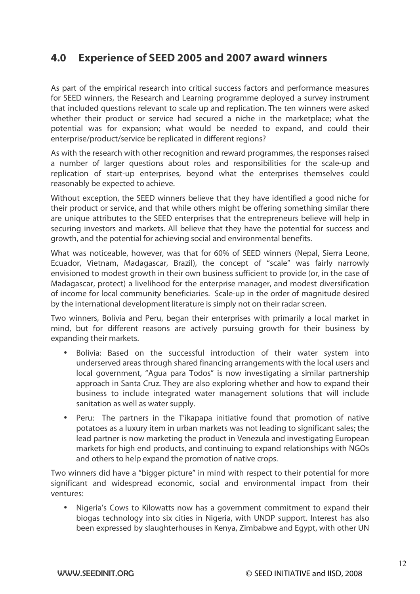# **4.0 Experience of SEED 2005 and 2007 award winners**

As part of the empirical research into critical success factors and performance measures for SEED winners, the Research and Learning programme deployed a survey instrument that included questions relevant to scale up and replication. The ten winners were asked whether their product or service had secured a niche in the marketplace; what the potential was for expansion; what would be needed to expand, and could their enterprise/product/service be replicated in different regions?

As with the research with other recognition and reward programmes, the responses raised a number of larger questions about roles and responsibilities for the scale-up and replication of start-up enterprises, beyond what the enterprises themselves could reasonably be expected to achieve.

Without exception, the SEED winners believe that they have identified a good niche for their product or service, and that while others might be offering something similar there are unique attributes to the SEED enterprises that the entrepreneurs believe will help in securing investors and markets. All believe that they have the potential for success and growth, and the potential for achieving social and environmental benefits.

What was noticeable, however, was that for 60% of SEED winners (Nepal, Sierra Leone, Ecuador, Vietnam, Madagascar, Brazil), the concept of "scale" was fairly narrowly envisioned to modest growth in their own business sufficient to provide (or, in the case of Madagascar, protect) a livelihood for the enterprise manager, and modest diversification of income for local community beneficiaries. Scale-up in the order of magnitude desired by the international development literature is simply not on their radar screen.

Two winners, Bolivia and Peru, began their enterprises with primarily a local market in mind, but for different reasons are actively pursuing growth for their business by expanding their markets.

- Bolivia: Based on the successful introduction of their water system into underserved areas through shared financing arrangements with the local users and local government, "Agua para Todos" is now investigating a similar partnership approach in Santa Cruz. They are also exploring whether and how to expand their business to include integrated water management solutions that will include sanitation as well as water supply.
- Peru: The partners in the T'ikapapa initiative found that promotion of native potatoes as a luxury item in urban markets was not leading to significant sales; the lead partner is now marketing the product in Venezula and investigating European markets for high end products, and continuing to expand relationships with NGOs and others to help expand the promotion of native crops.

Two winners did have a "bigger picture" in mind with respect to their potential for more significant and widespread economic, social and environmental impact from their ventures:

• Nigeria's Cows to Kilowatts now has a government commitment to expand their biogas technology into six cities in Nigeria, with UNDP support. Interest has also been expressed by slaughterhouses in Kenya, Zimbabwe and Egypt, with other UN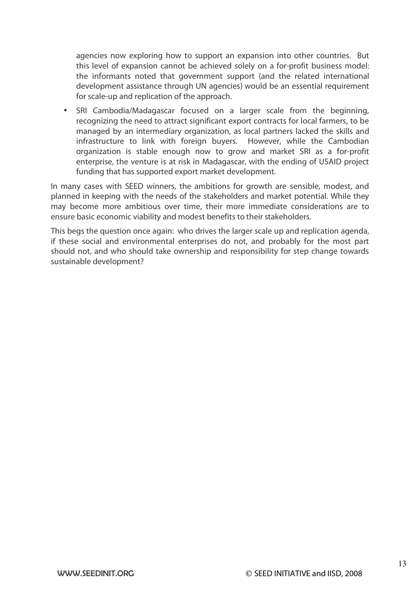agencies now exploring how to support an expansion into other countries. But this level of expansion cannot be achieved solely on a for-profit business model: the informants noted that government support (and the related international development assistance through UN agencies) would be an essential requirement for scale-up and replication of the approach.

SRI Cambodia/Madagascar focused on a larger scale from the beginning, recognizing the need to attract significant export contracts for local farmers, to be managed by an intermediary organization, as local partners lacked the skills and infrastructure to link with foreign buyers. However, while the Cambodian organization is stable enough now to grow and market SRI as a for-profit enterprise, the venture is at risk in Madagascar, with the ending of USAID project funding that has supported export market development.

In many cases with SEED winners, the ambitions for growth are sensible, modest, and planned in keeping with the needs of the stakeholders and market potential. While they may become more ambitious over time, their more immediate considerations are to ensure basic economic viability and modest benefits to their stakeholders.

This begs the question once again: who drives the larger scale up and replication agenda, if these social and environmental enterprises do not, and probably for the most part should not, and who should take ownership and responsibility for step change towards sustainable development?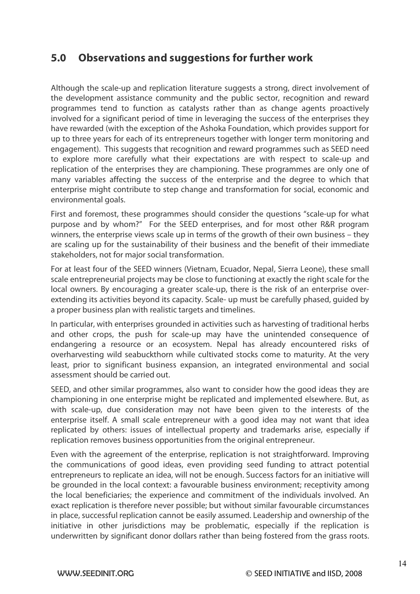# **5.0 Observations and suggestions for further work**

Although the scale-up and replication literature suggests a strong, direct involvement of the development assistance community and the public sector, recognition and reward programmes tend to function as catalysts rather than as change agents proactively involved for a significant period of time in leveraging the success of the enterprises they have rewarded (with the exception of the Ashoka Foundation, which provides support for up to three years for each of its entrepreneurs together with longer term monitoring and engagement). This suggests that recognition and reward programmes such as SEED need to explore more carefully what their expectations are with respect to scale-up and replication of the enterprises they are championing. These programmes are only one of many variables affecting the success of the enterprise and the degree to which that enterprise might contribute to step change and transformation for social, economic and environmental goals.

First and foremost, these programmes should consider the questions "scale-up for what purpose and by whom?" For the SEED enterprises, and for most other R&R program winners, the enterprise views scale up in terms of the growth of their own business – they are scaling up for the sustainability of their business and the benefit of their immediate stakeholders, not for major social transformation.

For at least four of the SEED winners (Vietnam, Ecuador, Nepal, Sierra Leone), these small scale entrepreneurial projects may be close to functioning at exactly the right scale for the local owners. By encouraging a greater scale-up, there is the risk of an enterprise overextending its activities beyond its capacity. Scale- up must be carefully phased, guided by a proper business plan with realistic targets and timelines.

In particular, with enterprises grounded in activities such as harvesting of traditional herbs and other crops, the push for scale-up may have the unintended consequence of endangering a resource or an ecosystem. Nepal has already encountered risks of overharvesting wild seabuckthorn while cultivated stocks come to maturity. At the very least, prior to significant business expansion, an integrated environmental and social assessment should be carried out.

SEED, and other similar programmes, also want to consider how the good ideas they are championing in one enterprise might be replicated and implemented elsewhere. But, as with scale-up, due consideration may not have been given to the interests of the enterprise itself. A small scale entrepreneur with a good idea may not want that idea replicated by others: issues of intellectual property and trademarks arise, especially if replication removes business opportunities from the original entrepreneur.

Even with the agreement of the enterprise, replication is not straightforward. Improving the communications of good ideas, even providing seed funding to attract potential entrepreneurs to replicate an idea, will not be enough. Success factors for an initiative will be grounded in the local context: a favourable business environment; receptivity among the local beneficiaries; the experience and commitment of the individuals involved. An exact replication is therefore never possible; but without similar favourable circumstances in place, successful replication cannot be easily assumed. Leadership and ownership of the initiative in other jurisdictions may be problematic, especially if the replication is underwritten by significant donor dollars rather than being fostered from the grass roots.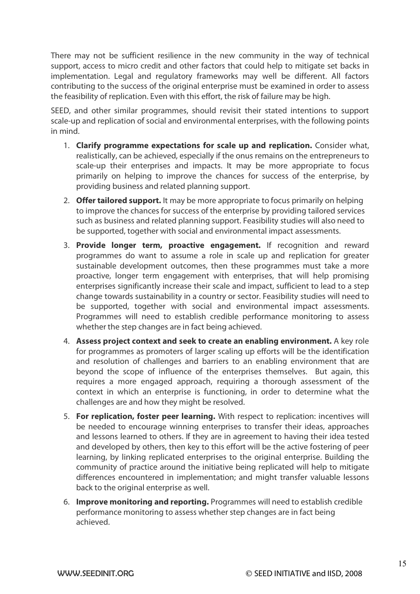There may not be sufficient resilience in the new community in the way of technical support, access to micro credit and other factors that could help to mitigate set backs in implementation. Legal and regulatory frameworks may well be different. All factors contributing to the success of the original enterprise must be examined in order to assess the feasibility of replication. Even with this effort, the risk of failure may be high.

SEED, and other similar programmes, should revisit their stated intentions to support scale-up and replication of social and environmental enterprises, with the following points in mind.

- 1. **Clarify programme expectations for scale up and replication.** Consider what, realistically, can be achieved, especially if the onus remains on the entrepreneurs to scale-up their enterprises and impacts. It may be more appropriate to focus primarily on helping to improve the chances for success of the enterprise, by providing business and related planning support.
- 2. **Offer tailored support.** It may be more appropriate to focus primarily on helping to improve the chances for success of the enterprise by providing tailored services such as business and related planning support. Feasibility studies will also need to be supported, together with social and environmental impact assessments.
- 3. **Provide longer term, proactive engagement.** If recognition and reward programmes do want to assume a role in scale up and replication for greater sustainable development outcomes, then these programmes must take a more proactive, longer term engagement with enterprises, that will help promising enterprises significantly increase their scale and impact, sufficient to lead to a step change towards sustainability in a country or sector. Feasibility studies will need to be supported, together with social and environmental impact assessments. Programmes will need to establish credible performance monitoring to assess whether the step changes are in fact being achieved.
- 4. **Assess project context and seek to create an enabling environment.** A key role for programmes as promoters of larger scaling up efforts will be the identification and resolution of challenges and barriers to an enabling environment that are beyond the scope of influence of the enterprises themselves. But again, this requires a more engaged approach, requiring a thorough assessment of the context in which an enterprise is functioning, in order to determine what the challenges are and how they might be resolved.
- 5. **For replication, foster peer learning.** With respect to replication: incentives will be needed to encourage winning enterprises to transfer their ideas, approaches and lessons learned to others. If they are in agreement to having their idea tested and developed by others, then key to this effort will be the active fostering of peer learning, by linking replicated enterprises to the original enterprise. Building the community of practice around the initiative being replicated will help to mitigate differences encountered in implementation; and might transfer valuable lessons back to the original enterprise as well.
- 6. **Improve monitoring and reporting.** Programmes will need to establish credible performance monitoring to assess whether step changes are in fact being achieved.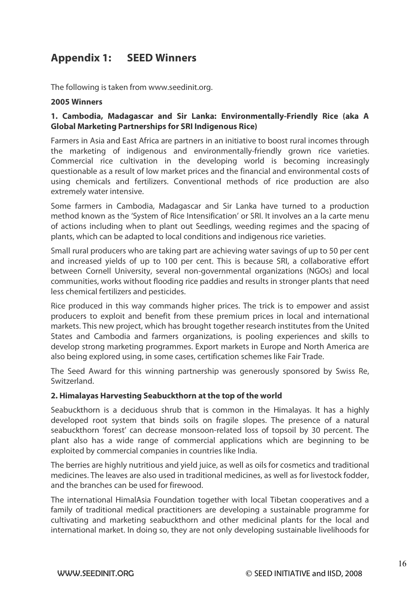# **Appendix 1: SEED Winners**

The following is taken from www.seedinit.org.

#### **2005 Winners**

### **1. Cambodia, Madagascar and Sir Lanka: Environmentally-Friendly Rice (aka A Global Marketing Partnerships for SRI Indigenous Rice)**

Farmers in Asia and East Africa are partners in an initiative to boost rural incomes through the marketing of indigenous and environmentally-friendly grown rice varieties. Commercial rice cultivation in the developing world is becoming increasingly questionable as a result of low market prices and the financial and environmental costs of using chemicals and fertilizers. Conventional methods of rice production are also extremely water intensive.

Some farmers in Cambodia, Madagascar and Sir Lanka have turned to a production method known as the 'System of Rice Intensification' or SRI. It involves an a la carte menu of actions including when to plant out Seedlings, weeding regimes and the spacing of plants, which can be adapted to local conditions and indigenous rice varieties.

Small rural producers who are taking part are achieving water savings of up to 50 per cent and increased yields of up to 100 per cent. This is because SRI, a collaborative effort between Cornell University, several non-governmental organizations (NGOs) and local communities, works without flooding rice paddies and results in stronger plants that need less chemical fertilizers and pesticides.

Rice produced in this way commands higher prices. The trick is to empower and assist producers to exploit and benefit from these premium prices in local and international markets. This new project, which has brought together research institutes from the United States and Cambodia and farmers organizations, is pooling experiences and skills to develop strong marketing programmes. Export markets in Europe and North America are also being explored using, in some cases, certification schemes like Fair Trade.

The Seed Award for this winning partnership was generously sponsored by Swiss Re, Switzerland.

### **2. Himalayas Harvesting Seabuckthorn at the top of the world**

Seabuckthorn is a deciduous shrub that is common in the Himalayas. It has a highly developed root system that binds soils on fragile slopes. The presence of a natural seabuckthorn 'forest' can decrease monsoon-related loss of topsoil by 30 percent. The plant also has a wide range of commercial applications which are beginning to be exploited by commercial companies in countries like India.

The berries are highly nutritious and yield juice, as well as oils for cosmetics and traditional medicines. The leaves are also used in traditional medicines, as well as for livestock fodder, and the branches can be used for firewood.

The international HimalAsia Foundation together with local Tibetan cooperatives and a family of traditional medical practitioners are developing a sustainable programme for cultivating and marketing seabuckthorn and other medicinal plants for the local and international market. In doing so, they are not only developing sustainable livelihoods for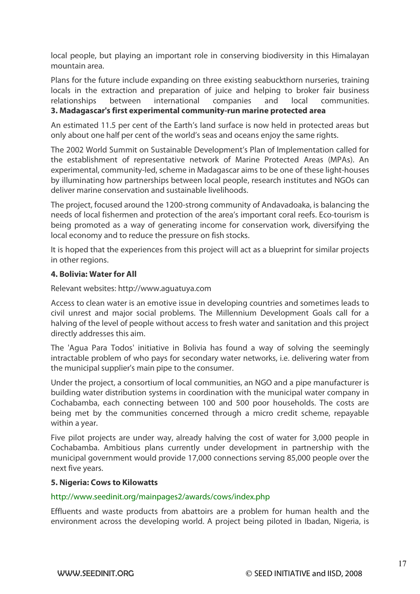local people, but playing an important role in conserving biodiversity in this Himalayan mountain area.

Plans for the future include expanding on three existing seabuckthorn nurseries, training locals in the extraction and preparation of juice and helping to broker fair business relationships between international companies and local communities. **3. Madagascar's first experimental community-run marine protected area** 

An estimated 11.5 per cent of the Earth's land surface is now held in protected areas but only about one half per cent of the world's seas and oceans enjoy the same rights.

The 2002 World Summit on Sustainable Development's Plan of Implementation called for the establishment of representative network of Marine Protected Areas (MPAs). An experimental, community-led, scheme in Madagascar aims to be one of these light-houses by illuminating how partnerships between local people, research institutes and NGOs can deliver marine conservation and sustainable livelihoods.

The project, focused around the 1200-strong community of Andavadoaka, is balancing the needs of local fishermen and protection of the area's important coral reefs. Eco-tourism is being promoted as a way of generating income for conservation work, diversifying the local economy and to reduce the pressure on fish stocks.

It is hoped that the experiences from this project will act as a blueprint for similar projects in other regions.

### **4. Bolivia: Water for All**

Relevant websites: http://www.aguatuya.com

Access to clean water is an emotive issue in developing countries and sometimes leads to civil unrest and major social problems. The Millennium Development Goals call for a halving of the level of people without access to fresh water and sanitation and this project directly addresses this aim.

The 'Agua Para Todos' initiative in Bolivia has found a way of solving the seemingly intractable problem of who pays for secondary water networks, i.e. delivering water from the municipal supplier's main pipe to the consumer.

Under the project, a consortium of local communities, an NGO and a pipe manufacturer is building water distribution systems in coordination with the municipal water company in Cochabamba, each connecting between 100 and 500 poor households. The costs are being met by the communities concerned through a micro credit scheme, repayable within a year.

Five pilot projects are under way, already halving the cost of water for 3,000 people in Cochabamba. Ambitious plans currently under development in partnership with the municipal government would provide 17,000 connections serving 85,000 people over the next five years.

### **5. Nigeria: Cows to Kilowatts**

### http://www.seedinit.org/mainpages2/awards/cows/index.php

Effluents and waste products from abattoirs are a problem for human health and the environment across the developing world. A project being piloted in Ibadan, Nigeria, is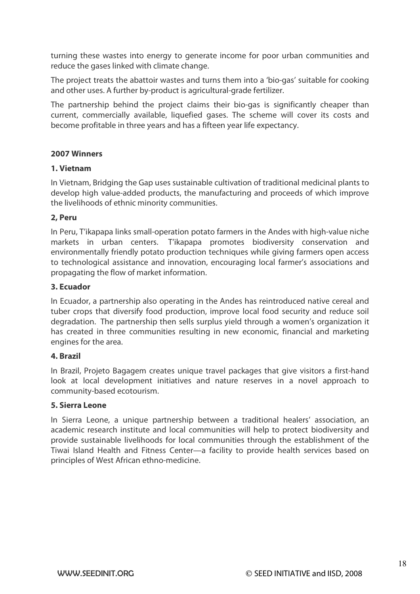turning these wastes into energy to generate income for poor urban communities and reduce the gases linked with climate change.

The project treats the abattoir wastes and turns them into a 'bio-gas' suitable for cooking and other uses. A further by-product is agricultural-grade fertilizer.

The partnership behind the project claims their bio-gas is significantly cheaper than current, commercially available, liquefied gases. The scheme will cover its costs and become profitable in three years and has a fifteen year life expectancy.

### **2007 Winners**

#### **1. Vietnam**

In Vietnam, Bridging the Gap uses sustainable cultivation of traditional medicinal plants to develop high value-added products, the manufacturing and proceeds of which improve the livelihoods of ethnic minority communities.

### **2, Peru**

In Peru, T'ikapapa links small-operation potato farmers in the Andes with high-value niche markets in urban centers. T'ikapapa promotes biodiversity conservation and environmentally friendly potato production techniques while giving farmers open access to technological assistance and innovation, encouraging local farmer's associations and propagating the flow of market information.

#### **3. Ecuador**

In Ecuador, a partnership also operating in the Andes has reintroduced native cereal and tuber crops that diversify food production, improve local food security and reduce soil degradation. The partnership then sells surplus yield through a women's organization it has created in three communities resulting in new economic, financial and marketing engines for the area.

#### **4. Brazil**

In Brazil, Projeto Bagagem creates unique travel packages that give visitors a first-hand look at local development initiatives and nature reserves in a novel approach to community-based ecotourism.

#### **5. Sierra Leone**

In Sierra Leone, a unique partnership between a traditional healers' association, an academic research institute and local communities will help to protect biodiversity and provide sustainable livelihoods for local communities through the establishment of the Tiwai Island Health and Fitness Center—a facility to provide health services based on principles of West African ethno-medicine.